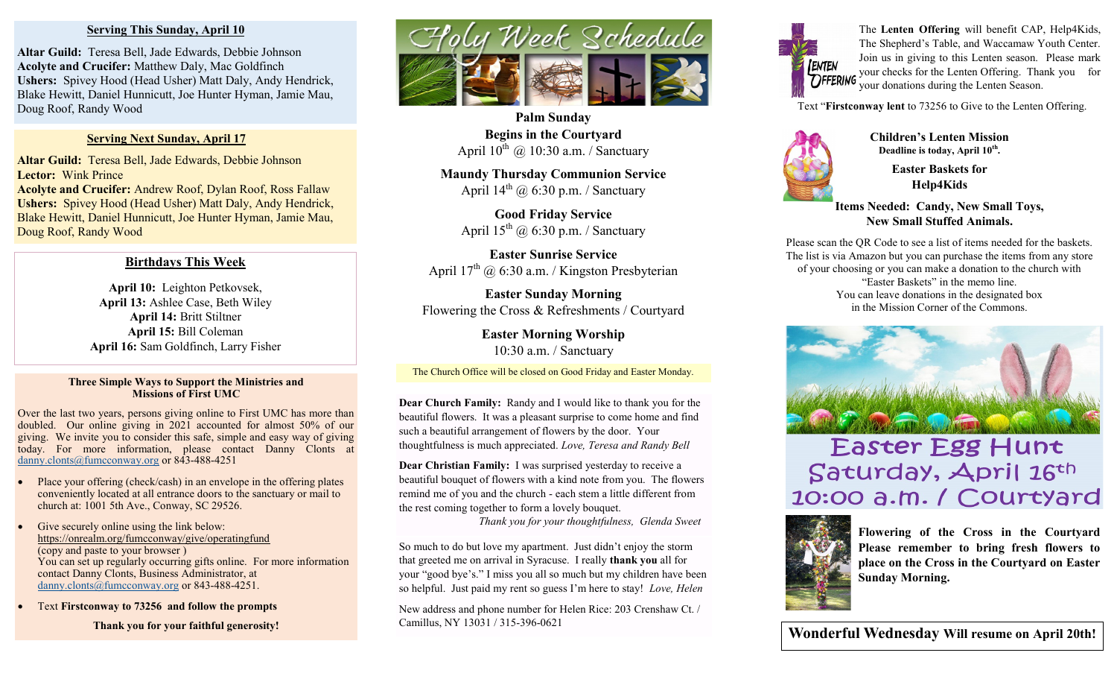#### **Serving This Sunday, April 10**

**Altar Guild:** Teresa Bell, Jade Edwards, Debbie Johnson **Acolyte and Crucifer:** Matthew Daly, Mac Goldfinch **Ushers:** Spivey Hood (Head Usher) Matt Daly, Andy Hendrick, Blake Hewitt, Daniel Hunnicutt, Joe Hunter Hyman, Jamie Mau, Doug Roof, Randy Wood

#### **Serving Next Sunday, April 17**

**Altar Guild:** Teresa Bell, Jade Edwards, Debbie Johnson **Lector:** Wink Prince

**Acolyte and Crucifer:** Andrew Roof, Dylan Roof, Ross Fallaw **Ushers:** Spivey Hood (Head Usher) Matt Daly, Andy Hendrick, Blake Hewitt, Daniel Hunnicutt, Joe Hunter Hyman, Jamie Mau, Doug Roof, Randy Wood

#### **Birthdays This Week**

**April 10:** Leighton Petkovsek, **April 13:** Ashlee Case, Beth Wiley **April 14:** Britt Stiltner **April 15:** Bill Coleman **April 16:** Sam Goldfinch, Larry Fisher

#### **Three Simple Ways to Support the Ministries and Missions of First UMC**

Over the last two years, persons giving online to First UMC has more than doubled. Our online giving in 2021 accounted for almost 50% of our giving. We invite you to consider this safe, simple and easy way of giving today. For more information, please contact Danny Clonts at [danny.clonts@fumcconway.org](mailto:danny.clonts@fumcconway.org) or 843-488-4251

- Place your offering (check/cash) in an envelope in the offering plates conveniently located at all entrance doors to the sanctuary or mail to church at: 1001 5th Ave., Conway, SC 29526.
- Give securely online using the link below: <https://onrealm.org/fumcconway/give/operatingfund> (copy and paste to your browser ) You can set up regularly occurring gifts online. For more information contact Danny Clonts, Business Administrator, at [danny.clonts@fumcconway.org](mailto:danny.clonts@fumcconway.org) or 843-488-4251.
- Text **Firstconway to 73256 and follow the prompts**

**Thank you for your faithful generosity!** 



**Palm Sunday Begins in the Courtyard** April  $10^{th}$  @ 10:30 a.m. / Sanctuary

**Maundy Thursday Communion Service** April  $14^{th}$  @ 6:30 p.m. / Sanctuary

> **Good Friday Service** April  $15^{th}$  @ 6:30 p.m. / Sanctuary

**Easter Sunrise Service** April  $17<sup>th</sup>$  @ 6:30 a.m. / Kingston Presbyterian

**Easter Sunday Morning** Flowering the Cross & Refreshments / Courtyard

> **Easter Morning Worship** 10:30 a.m. / Sanctuary

The Church Office will be closed on Good Friday and Easter Monday.

**Dear Church Family:** Randy and I would like to thank you for the beautiful flowers. It was a pleasant surprise to come home and find such a beautiful arrangement of flowers by the door. Your thoughtfulness is much appreciated. *Love, Teresa and Randy Bell*

**Dear Christian Family:** I was surprised yesterday to receive a beautiful bouquet of flowers with a kind note from you. The flowers remind me of you and the church - each stem a little different from the rest coming together to form a lovely bouquet.

*Thank you for your thoughtfulness, Glenda Sweet*

So much to do but love my apartment. Just didn't enjoy the storm that greeted me on arrival in Syracuse. I really **thank you** all for your "good bye's." I miss you all so much but my children have been so helpful. Just paid my rent so guess I'm here to stay! *Love, Helen*

New address and phone number for Helen Rice: 203 Crenshaw Ct. / Camillus, NY 13031 / 315-396-0621



The **Lenten Offering** will benefit CAP, Help4Kids, The Shepherd's Table, and Waccamaw Youth Center. Join us in giving to this Lenten season. Please mark your checks for the Lenten Offering. Thank you for your donations during the Lenten Season.

Text "**Firstconway lent** to 73256 to Give to the Lenten Offering.



**Children's Lenten Mission Deadline is today, April 10th .**

> **Easter Baskets for Help4Kids**

**Items Needed: Candy, New Small Toys, New Small Stuffed Animals.**

Please scan the QR Code to see a list of items needed for the baskets. The list is via Amazon but you can purchase the items from any store of your choosing or you can make a donation to the church with "Easter Baskets" in the memo line. You can leave donations in the designated box in the Mission Corner of the Commons.



# Easter Egg Hunt Saturday, April 16th 10:00 a.m. / Courtyard



**Flowering of the Cross in the Courtyard Please remember to bring fresh flowers to place on the Cross in the Courtyard on Easter Sunday Morning.** 

**Wonderful Wednesday Will resume on April 20th!**